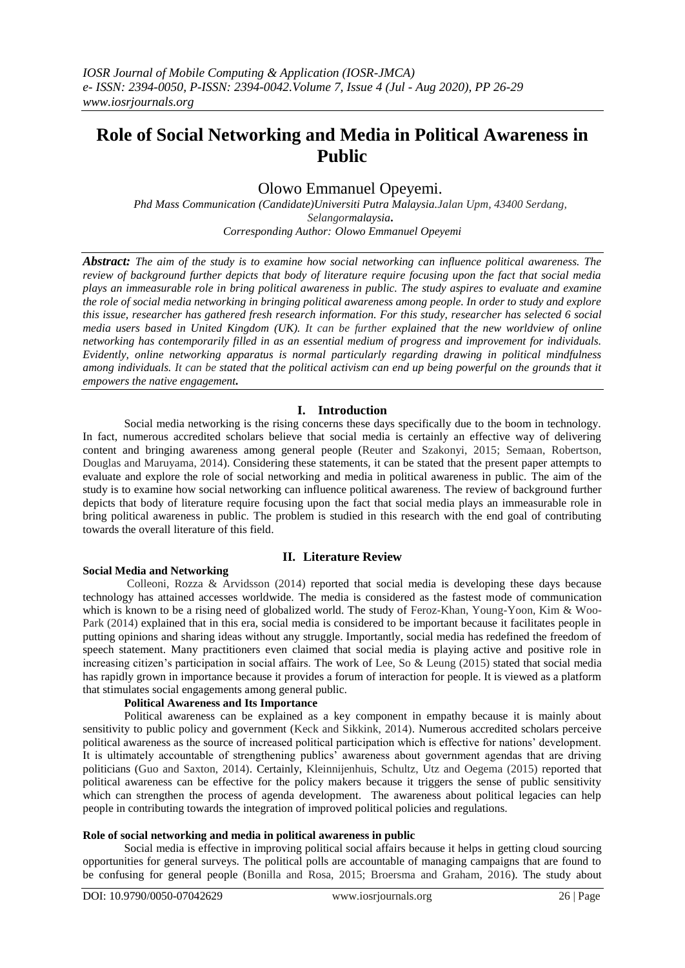# **Role of Social Networking and Media in Political Awareness in Public**

## Olowo Emmanuel Opeyemi.

*Phd Mass Communication (Candidate)Universiti Putra Malaysia.Jalan Upm, 43400 Serdang, Selangormalaysia***.** *Corresponding Author: Olowo Emmanuel Opeyemi*

*Abstract: The aim of the study is to examine how social networking can influence political awareness. The review of background further depicts that body of literature require focusing upon the fact that social media plays an immeasurable role in bring political awareness in public. The study aspires to evaluate and examine the role of social media networking in bringing political awareness among people. In order to study and explore this issue, researcher has gathered fresh research information. For this study, researcher has selected 6 social media users based in United Kingdom (UK). It can be further explained that the new worldview of online networking has contemporarily filled in as an essential medium of progress and improvement for individuals. Evidently, online networking apparatus is normal particularly regarding drawing in political mindfulness among individuals. It can be stated that the political activism can end up being powerful on the grounds that it empowers the native engagement.* 

## **I. Introduction**

Social media networking is the rising concerns these days specifically due to the boom in technology. In fact, numerous accredited scholars believe that social media is certainly an effective way of delivering content and bringing awareness among general people (Reuter and Szakonyi, 2015; Semaan, Robertson, Douglas and Maruyama, 2014). Considering these statements, it can be stated that the present paper attempts to evaluate and explore the role of social networking and media in political awareness in public. The aim of the study is to examine how social networking can influence political awareness. The review of background further depicts that body of literature require focusing upon the fact that social media plays an immeasurable role in bring political awareness in public. The problem is studied in this research with the end goal of contributing towards the overall literature of this field.

## **II. Literature Review**

## **Social Media and Networking**

Colleoni, Rozza & Arvidsson (2014) reported that social media is developing these days because technology has attained accesses worldwide. The media is considered as the fastest mode of communication which is known to be a rising need of globalized world. The study of Feroz-Khan, Young-Yoon, Kim & Woo-Park (2014) explained that in this era, social media is considered to be important because it facilitates people in putting opinions and sharing ideas without any struggle. Importantly, social media has redefined the freedom of speech statement. Many practitioners even claimed that social media is playing active and positive role in increasing citizen's participation in social affairs. The work of Lee, So & Leung (2015) stated that social media has rapidly grown in importance because it provides a forum of interaction for people. It is viewed as a platform that stimulates social engagements among general public.

#### **Political Awareness and Its Importance**

Political awareness can be explained as a key component in empathy because it is mainly about sensitivity to public policy and government (Keck and Sikkink, 2014). Numerous accredited scholars perceive political awareness as the source of increased political participation which is effective for nations' development. It is ultimately accountable of strengthening publics' awareness about government agendas that are driving politicians (Guo and Saxton, 2014). Certainly, Kleinnijenhuis, Schultz, Utz and Oegema (2015) reported that political awareness can be effective for the policy makers because it triggers the sense of public sensitivity which can strengthen the process of agenda development. The awareness about political legacies can help people in contributing towards the integration of improved political policies and regulations.

#### **Role of social networking and media in political awareness in public**

Social media is effective in improving political social affairs because it helps in getting cloud sourcing opportunities for general surveys. The political polls are accountable of managing campaigns that are found to be confusing for general people (Bonilla and Rosa, 2015; Broersma and Graham, 2016). The study about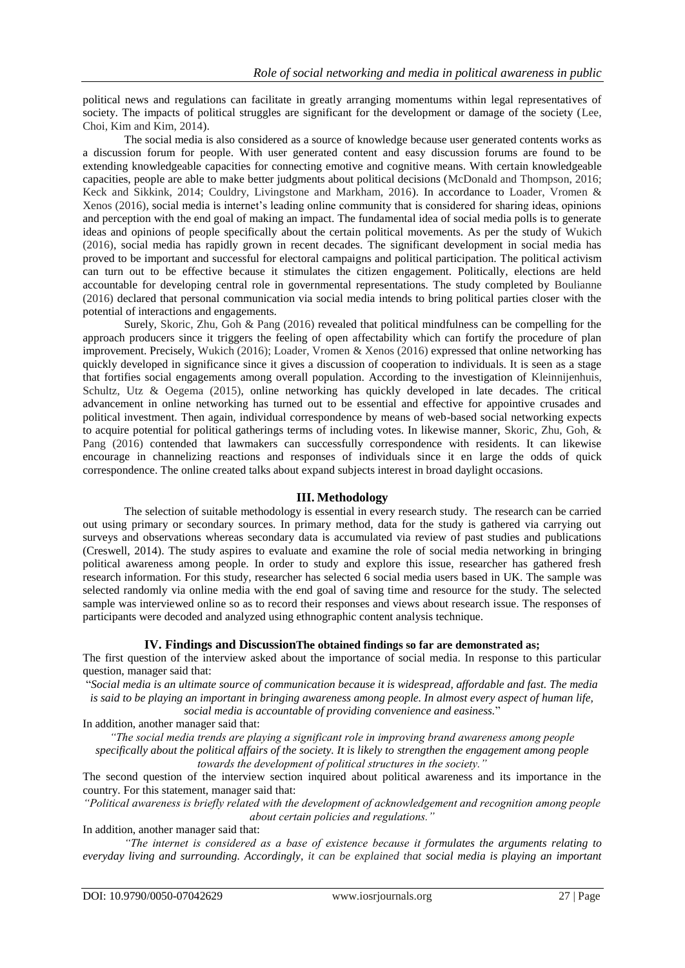political news and regulations can facilitate in greatly arranging momentums within legal representatives of society. The impacts of political struggles are significant for the development or damage of the society (Lee, Choi, Kim and Kim, 2014).

The social media is also considered as a source of knowledge because user generated contents works as a discussion forum for people. With user generated content and easy discussion forums are found to be extending knowledgeable capacities for connecting emotive and cognitive means. With certain knowledgeable capacities, people are able to make better judgments about political decisions (McDonald and Thompson, 2016; Keck and Sikkink, 2014; Couldry, Livingstone and Markham, 2016). In accordance to Loader, Vromen & Xenos (2016), social media is internet's leading online community that is considered for sharing ideas, opinions and perception with the end goal of making an impact. The fundamental idea of social media polls is to generate ideas and opinions of people specifically about the certain political movements. As per the study of Wukich (2016), social media has rapidly grown in recent decades. The significant development in social media has proved to be important and successful for electoral campaigns and political participation. The political activism can turn out to be effective because it stimulates the citizen engagement. Politically, elections are held accountable for developing central role in governmental representations. The study completed by Boulianne (2016) declared that personal communication via social media intends to bring political parties closer with the potential of interactions and engagements.

Surely, Skoric, Zhu, Goh & Pang (2016) revealed that political mindfulness can be compelling for the approach producers since it triggers the feeling of open affectability which can fortify the procedure of plan improvement. Precisely, Wukich (2016); Loader, Vromen & Xenos (2016) expressed that online networking has quickly developed in significance since it gives a discussion of cooperation to individuals. It is seen as a stage that fortifies social engagements among overall population. According to the investigation of Kleinnijenhuis, Schultz, Utz & Oegema (2015), online networking has quickly developed in late decades. The critical advancement in online networking has turned out to be essential and effective for appointive crusades and political investment. Then again, individual correspondence by means of web-based social networking expects to acquire potential for political gatherings terms of including votes. In likewise manner, Skoric, Zhu, Goh, & Pang (2016) contended that lawmakers can successfully correspondence with residents. It can likewise encourage in channelizing reactions and responses of individuals since it en large the odds of quick correspondence. The online created talks about expand subjects interest in broad daylight occasions.

#### **III. Methodology**

The selection of suitable methodology is essential in every research study. The research can be carried out using primary or secondary sources. In primary method, data for the study is gathered via carrying out surveys and observations whereas secondary data is accumulated via review of past studies and publications (Creswell, 2014). The study aspires to evaluate and examine the role of social media networking in bringing political awareness among people. In order to study and explore this issue, researcher has gathered fresh research information. For this study, researcher has selected 6 social media users based in UK. The sample was selected randomly via online media with the end goal of saving time and resource for the study. The selected sample was interviewed online so as to record their responses and views about research issue. The responses of participants were decoded and analyzed using ethnographic content analysis technique.

#### **IV. Findings and DiscussionThe obtained findings so far are demonstrated as;**

The first question of the interview asked about the importance of social media. In response to this particular question, manager said that:

"*Social media is an ultimate source of communication because it is widespread, affordable and fast. The media is said to be playing an important in bringing awareness among people. In almost every aspect of human life,* 

*social media is accountable of providing convenience and easiness.*"

In addition, another manager said that:

*"The social media trends are playing a significant role in improving brand awareness among people specifically about the political affairs of the society. It is likely to strengthen the engagement among people towards the development of political structures in the society."*

The second question of the interview section inquired about political awareness and its importance in the country. For this statement, manager said that:

*"Political awareness is briefly related with the development of acknowledgement and recognition among people about certain policies and regulations."*

In addition, another manager said that:

*"The internet is considered as a base of existence because it formulates the arguments relating to everyday living and surrounding. Accordingly, it can be explained that social media is playing an important*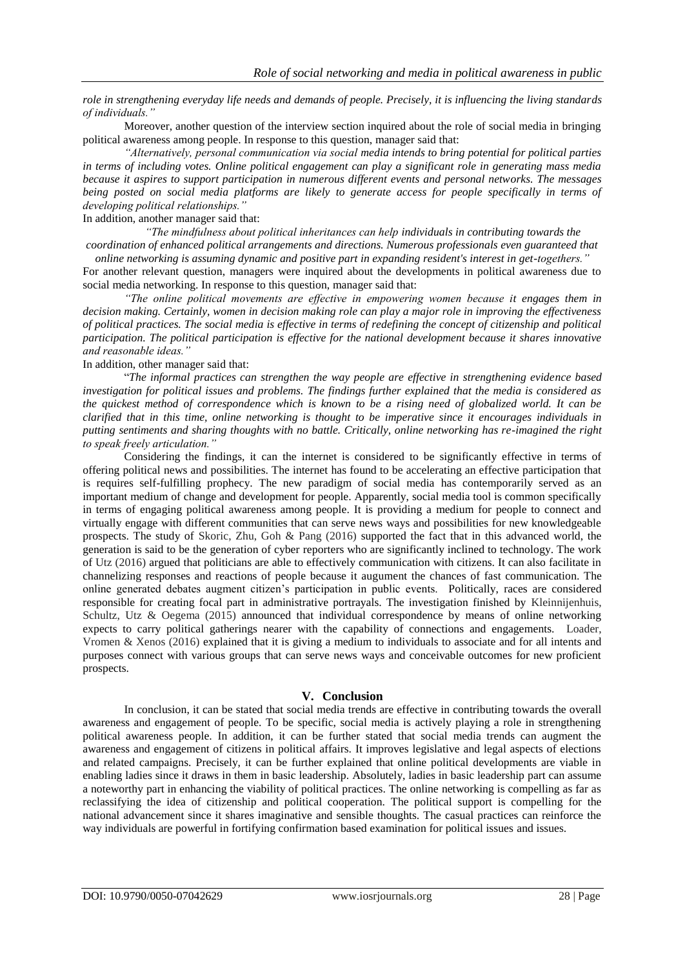*role in strengthening everyday life needs and demands of people. Precisely, it is influencing the living standards of individuals."*

Moreover, another question of the interview section inquired about the role of social media in bringing political awareness among people. In response to this question, manager said that:

*"Alternatively, personal communication via social media intends to bring potential for political parties in terms of including votes. Online political engagement can play a significant role in generating mass media because it aspires to support participation in numerous different events and personal networks. The messages being posted on social media platforms are likely to generate access for people specifically in terms of developing political relationships."*

In addition, another manager said that:

*"The mindfulness about political inheritances can help individuals in contributing towards the coordination of enhanced political arrangements and directions. Numerous professionals even guaranteed that* 

*online networking is assuming dynamic and positive part in expanding resident's interest in get-togethers."* For another relevant question, managers were inquired about the developments in political awareness due to social media networking. In response to this question, manager said that:

*"The online political movements are effective in empowering women because it engages them in decision making. Certainly, women in decision making role can play a major role in improving the effectiveness of political practices. The social media is effective in terms of redefining the concept of citizenship and political participation. The political participation is effective for the national development because it shares innovative and reasonable ideas."*

In addition, other manager said that:

"*The informal practices can strengthen the way people are effective in strengthening evidence based investigation for political issues and problems. The findings further explained that the media is considered as the quickest method of correspondence which is known to be a rising need of globalized world. It can be clarified that in this time, online networking is thought to be imperative since it encourages individuals in putting sentiments and sharing thoughts with no battle. Critically, online networking has re-imagined the right to speak freely articulation."*

Considering the findings, it can the internet is considered to be significantly effective in terms of offering political news and possibilities. The internet has found to be accelerating an effective participation that is requires self-fulfilling prophecy. The new paradigm of social media has contemporarily served as an important medium of change and development for people. Apparently, social media tool is common specifically in terms of engaging political awareness among people. It is providing a medium for people to connect and virtually engage with different communities that can serve news ways and possibilities for new knowledgeable prospects. The study of Skoric, Zhu, Goh & Pang (2016) supported the fact that in this advanced world, the generation is said to be the generation of cyber reporters who are significantly inclined to technology. The work of Utz (2016) argued that politicians are able to effectively communication with citizens. It can also facilitate in channelizing responses and reactions of people because it augument the chances of fast communication. The online generated debates augment citizen's participation in public events. Politically, races are considered responsible for creating focal part in administrative portrayals. The investigation finished by Kleinnijenhuis, Schultz, Utz & Oegema (2015) announced that individual correspondence by means of online networking expects to carry political gatherings nearer with the capability of connections and engagements. Loader, Vromen & Xenos (2016) explained that it is giving a medium to individuals to associate and for all intents and purposes connect with various groups that can serve news ways and conceivable outcomes for new proficient prospects.

#### **V. Conclusion**

In conclusion, it can be stated that social media trends are effective in contributing towards the overall awareness and engagement of people. To be specific, social media is actively playing a role in strengthening political awareness people. In addition, it can be further stated that social media trends can augment the awareness and engagement of citizens in political affairs. It improves legislative and legal aspects of elections and related campaigns. Precisely, it can be further explained that online political developments are viable in enabling ladies since it draws in them in basic leadership. Absolutely, ladies in basic leadership part can assume a noteworthy part in enhancing the viability of political practices. The online networking is compelling as far as reclassifying the idea of citizenship and political cooperation. The political support is compelling for the national advancement since it shares imaginative and sensible thoughts. The casual practices can reinforce the way individuals are powerful in fortifying confirmation based examination for political issues and issues.